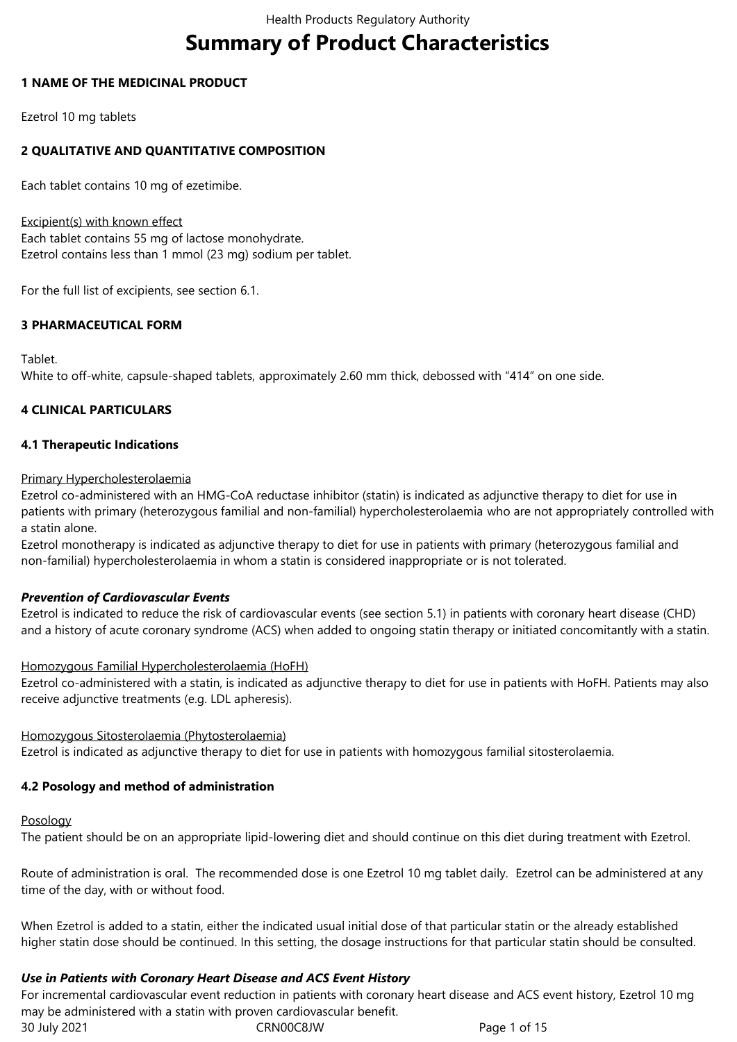# **Summary of Product Characteristics**

# **1 NAME OF THE MEDICINAL PRODUCT**

Ezetrol 10 mg tablets

# **2 QUALITATIVE AND QUANTITATIVE COMPOSITION**

Each tablet contains 10 mg of ezetimibe.

Excipient(s) with known effect Each tablet contains 55 mg of lactose monohydrate. Ezetrol contains less than 1 mmol (23 mg) sodium per tablet.

For the full list of excipients, see section 6.1.

# **3 PHARMACEUTICAL FORM**

Tablet.

White to off-white, capsule-shaped tablets, approximately 2.60 mm thick, debossed with "414" on one side.

# **4 CLINICAL PARTICULARS**

# **4.1 Therapeutic Indications**

Primary Hypercholesterolaemia

Ezetrol co-administered with an HMG-CoA reductase inhibitor (statin) is indicated as adjunctive therapy to diet for use in patients with primary (heterozygous familial and non-familial) hypercholesterolaemia who are not appropriately controlled with a statin alone.

Ezetrol monotherapy is indicated as adjunctive therapy to diet for use in patients with primary (heterozygous familial and non-familial) hypercholesterolaemia in whom a statin is considered inappropriate or is not tolerated.

# *Prevention of Cardiovascular Events*

Ezetrol is indicated to reduce the risk of cardiovascular events (see section 5.1) in patients with coronary heart disease (CHD) and a history of acute coronary syndrome (ACS) when added to ongoing statin therapy or initiated concomitantly with a statin.

Homozygous Familial Hypercholesterolaemia (HoFH)

Ezetrol co-administered with a statin, is indicated as adjunctive therapy to diet for use in patients with HoFH. Patients may also receive adjunctive treatments (e.g. LDL apheresis).

Homozygous Sitosterolaemia (Phytosterolaemia) Ezetrol is indicated as adjunctive therapy to diet for use in patients with homozygous familial sitosterolaemia.

# **4.2 Posology and method of administration**

Posology

The patient should be on an appropriate lipid‑lowering diet and should continue on this diet during treatment with Ezetrol.

Route of administration is oral. The recommended dose is one Ezetrol 10 mg tablet daily. Ezetrol can be administered at any time of the day, with or without food.

When Ezetrol is added to a statin, either the indicated usual initial dose of that particular statin or the already established higher statin dose should be continued. In this setting, the dosage instructions for that particular statin should be consulted.

# *Use in Patients with Coronary Heart Disease and ACS Event History*

30 July 2021 CRN00C8JW Page 1 of 15 For incremental cardiovascular event reduction in patients with coronary heart disease and ACS event history, Ezetrol 10 mg may be administered with a statin with proven cardiovascular benefit.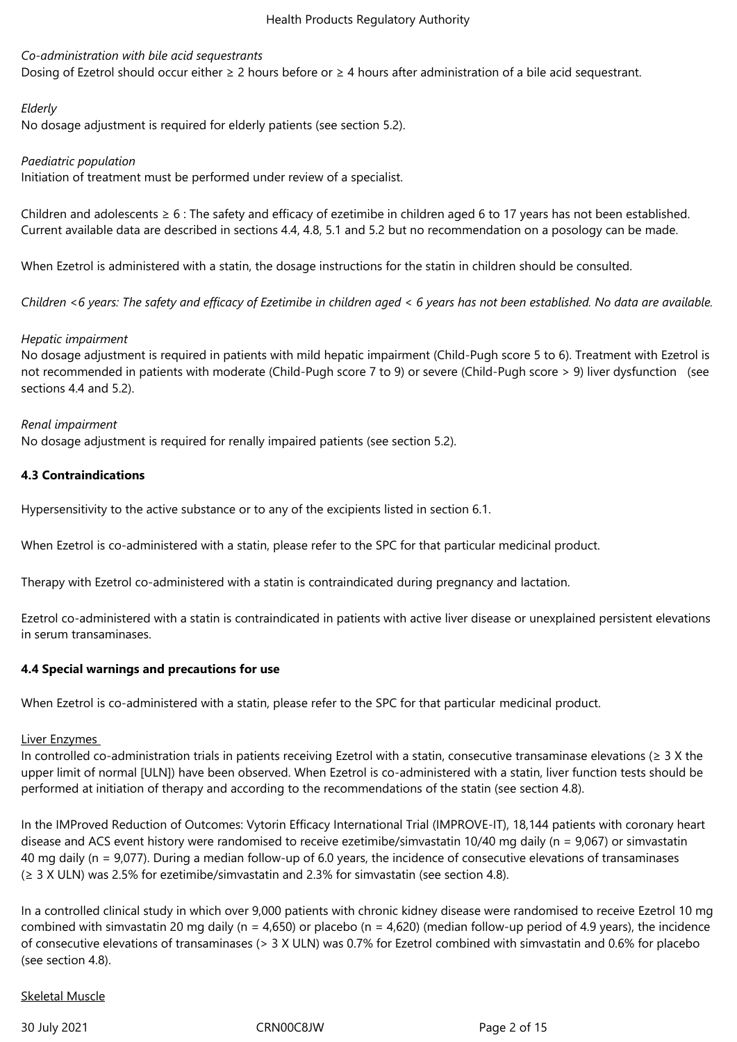# *Co-administration with bile acid sequestrants*

Dosing of Ezetrol should occur either ≥ 2 hours before or ≥ 4 hours after administration of a bile acid sequestrant.

# *Elderly*

No dosage adjustment is required for elderly patients (see section 5.2).

## *Paediatric population*

Initiation of treatment must be performed under review of a specialist.

Children and adolescents  $\geq 6$ : The safety and efficacy of ezetimibe in children aged 6 to 17 years has not been established. Current available data are described in sections 4.4, 4.8, 5.1 and 5.2 but no recommendation on a posology can be made.

When Ezetrol is administered with a statin, the dosage instructions for the statin in children should be consulted.

*Children <6 years: The safety and efficacy of Ezetimibe in children aged < 6 years has not been established. No data are available.*

## *Hepatic impairment*

No dosage adjustment is required in patients with mild hepatic impairment (Child‑Pugh score 5 to 6). Treatment with Ezetrol is not recommended in patients with moderate (Child-Pugh score 7 to 9) or severe (Child-Pugh score > 9) liver dysfunction (see sections 4.4 and 5.2).

#### *Renal impairment*

No dosage adjustment is required for renally impaired patients (see section 5.2).

# **4.3 Contraindications**

Hypersensitivity to the active substance or to any of the excipients listed in section 6.1.

When Ezetrol is co-administered with a statin, please refer to the SPC for that particular medicinal product.

Therapy with Ezetrol co-administered with a statin is contraindicated during pregnancy and lactation.

Ezetrol co-administered with a statin is contraindicated in patients with active liver disease or unexplained persistent elevations in serum transaminases.

# **4.4 Special warnings and precautions for use**

When Ezetrol is co-administered with a statin, please refer to the SPC for that particular medicinal product.

#### Liver Enzymes

In controlled co-administration trials in patients receiving Ezetrol with a statin, consecutive transaminase elevations (≥ 3 X the upper limit of normal [ULN]) have been observed. When Ezetrol is co-administered with a statin, liver function tests should be performed at initiation of therapy and according to the recommendations of the statin (see section 4.8).

In the IMProved Reduction of Outcomes: Vytorin Efficacy International Trial (IMPROVE-IT), 18,144 patients with coronary heart disease and ACS event history were randomised to receive ezetimibe/simvastatin 10/40 mg daily (n = 9,067) or simvastatin 40 mg daily (n = 9,077). During a median follow-up of 6.0 years, the incidence of consecutive elevations of transaminases (≥ 3 X ULN) was 2.5% for ezetimibe/simvastatin and 2.3% for simvastatin (see section 4.8).

In a controlled clinical study in which over 9,000 patients with chronic kidney disease were randomised to receive Ezetrol 10 mg combined with simvastatin 20 mg daily (n = 4,650) or placebo (n = 4,620) (median follow-up period of 4.9 years), the incidence of consecutive elevations of transaminases (> 3 X ULN) was 0.7% for Ezetrol combined with simvastatin and 0.6% for placebo (see section 4.8).

#### Skeletal Muscle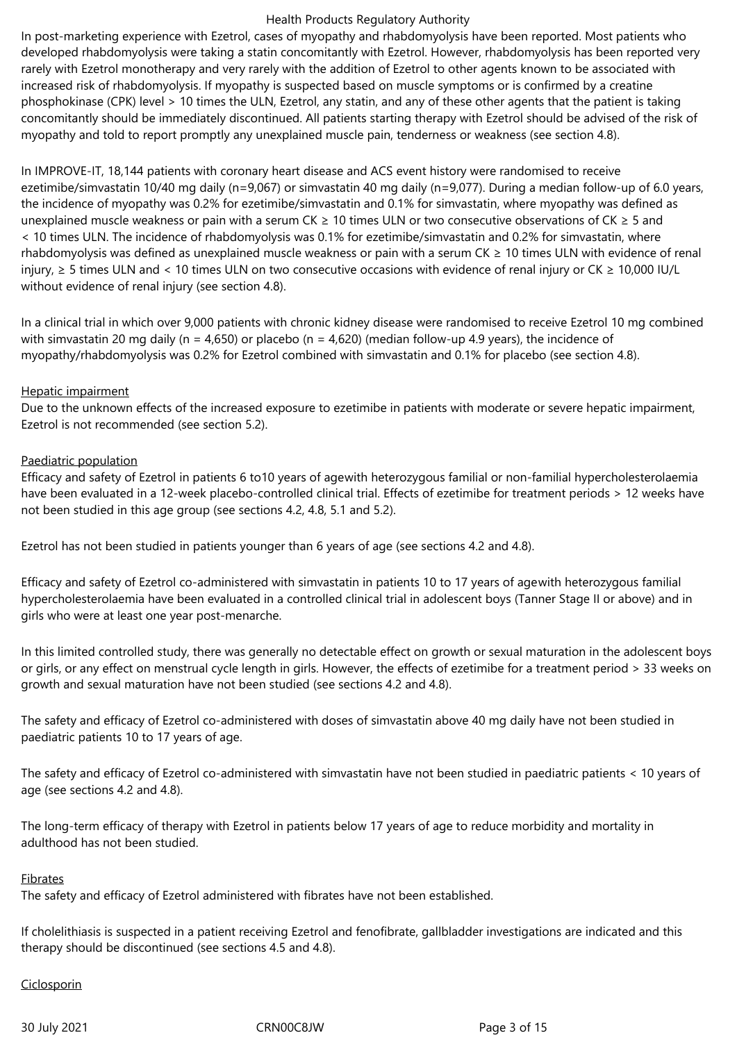In post-marketing experience with Ezetrol, cases of myopathy and rhabdomyolysis have been reported. Most patients who developed rhabdomyolysis were taking a statin concomitantly with Ezetrol. However, rhabdomyolysis has been reported very rarely with Ezetrol monotherapy and very rarely with the addition of Ezetrol to other agents known to be associated with increased risk of rhabdomyolysis. If myopathy is suspected based on muscle symptoms or is confirmed by a creatine phosphokinase (CPK) level > 10 times the ULN, Ezetrol, any statin, and any of these other agents that the patient is taking concomitantly should be immediately discontinued. All patients starting therapy with Ezetrol should be advised of the risk of myopathy and told to report promptly any unexplained muscle pain, tenderness or weakness (see section 4.8).

In IMPROVE-IT, 18,144 patients with coronary heart disease and ACS event history were randomised to receive ezetimibe/simvastatin 10/40 mg daily (n=9,067) or simvastatin 40 mg daily (n=9,077). During a median follow-up of 6.0 years, the incidence of myopathy was 0.2% for ezetimibe/simvastatin and 0.1% for simvastatin, where myopathy was defined as unexplained muscle weakness or pain with a serum CK ≥ 10 times ULN or two consecutive observations of CK ≥ 5 and < 10 times ULN. The incidence of rhabdomyolysis was 0.1% for ezetimibe/simvastatin and 0.2% for simvastatin, where rhabdomyolysis was defined as unexplained muscle weakness or pain with a serum CK ≥ 10 times ULN with evidence of renal injury, ≥ 5 times ULN and < 10 times ULN on two consecutive occasions with evidence of renal injury or CK ≥ 10,000 IU/L without evidence of renal injury (see section 4.8).

In a clinical trial in which over 9,000 patients with chronic kidney disease were randomised to receive Ezetrol 10 mg combined with simvastatin 20 mg daily (n = 4,650) or placebo (n = 4,620) (median follow-up 4.9 years), the incidence of myopathy/rhabdomyolysis was 0.2% for Ezetrol combined with simvastatin and 0.1% for placebo (see section 4.8).

#### Hepatic impairment

Due to the unknown effects of the increased exposure to ezetimibe in patients with moderate or severe hepatic impairment, Ezetrol is not recommended (see section 5.2).

#### Paediatric population

Efficacy and safety of Ezetrol in patients 6 to10 years of agewith heterozygous familial or non-familial hypercholesterolaemia have been evaluated in a 12-week placebo-controlled clinical trial. Effects of ezetimibe for treatment periods > 12 weeks have not been studied in this age group (see sections 4.2, 4.8, 5.1 and 5.2).

Ezetrol has not been studied in patients younger than 6 years of age (see sections 4.2 and 4.8).

Efficacy and safety of Ezetrol co-administered with simvastatin in patients 10 to 17 years of agewith heterozygous familial hypercholesterolaemia have been evaluated in a controlled clinical trial in adolescent boys (Tanner Stage II or above) and in girls who were at least one year post-menarche.

In this limited controlled study, there was generally no detectable effect on growth or sexual maturation in the adolescent boys or girls, or any effect on menstrual cycle length in girls. However, the effects of ezetimibe for a treatment period > 33 weeks on growth and sexual maturation have not been studied (see sections 4.2 and 4.8).

The safety and efficacy of Ezetrol co-administered with doses of simvastatin above 40 mg daily have not been studied in paediatric patients 10 to 17 years of age.

The safety and efficacy of Ezetrol co-administered with simvastatin have not been studied in paediatric patients < 10 years of age (see sections 4.2 and 4.8).

The long-term efficacy of therapy with Ezetrol in patients below 17 years of age to reduce morbidity and mortality in adulthood has not been studied.

#### Fibrates

The safety and efficacy of Ezetrol administered with fibrates have not been established.

If cholelithiasis is suspected in a patient receiving Ezetrol and fenofibrate, gallbladder investigations are indicated and this therapy should be discontinued (see sections 4.5 and 4.8).

#### Ciclosporin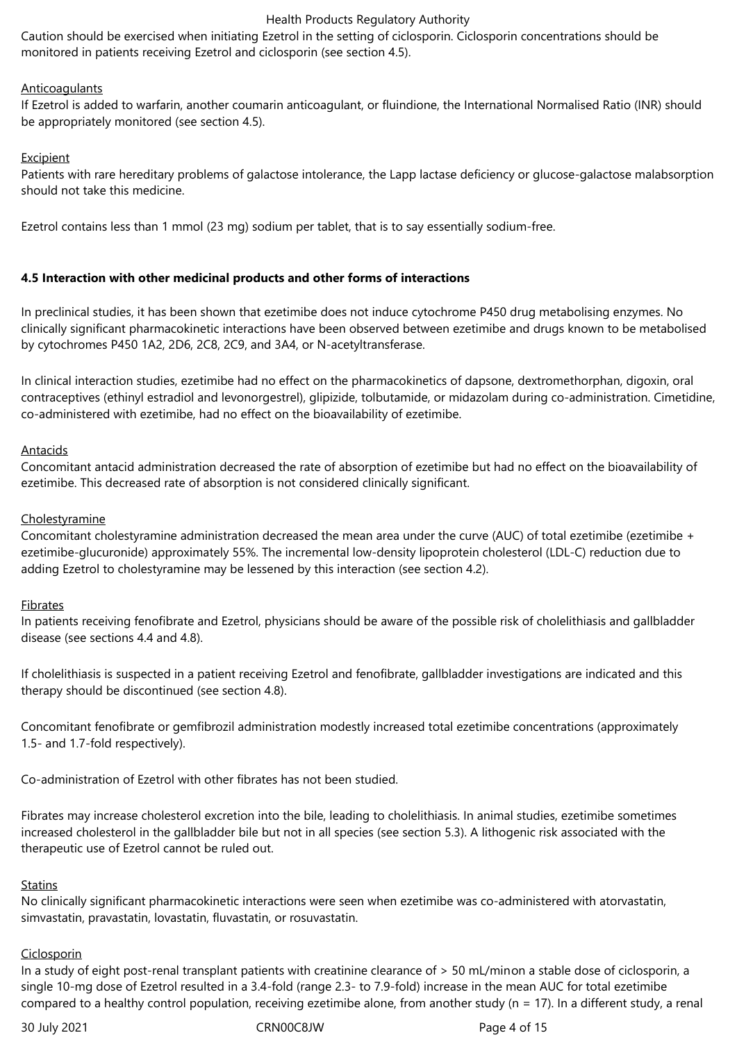Caution should be exercised when initiating Ezetrol in the setting of ciclosporin. Ciclosporin concentrations should be monitored in patients receiving Ezetrol and ciclosporin (see section 4.5).

#### **Anticoagulants**

If Ezetrol is added to warfarin, another coumarin anticoagulant, or fluindione, the International Normalised Ratio (INR) should be appropriately monitored (see section 4.5).

#### Excipient

Patients with rare hereditary problems of galactose intolerance, the Lapp lactase deficiency or glucose-galactose malabsorption should not take this medicine.

Ezetrol contains less than 1 mmol (23 mg) sodium per tablet, that is to say essentially sodium-free.

## **4.5 Interaction with other medicinal products and other forms of interactions**

In preclinical studies, it has been shown that ezetimibe does not induce cytochrome P450 drug metabolising enzymes. No clinically significant pharmacokinetic interactions have been observed between ezetimibe and drugs known to be metabolised by cytochromes P450 1A2, 2D6, 2C8, 2C9, and 3A4, or N-acetyltransferase.

In clinical interaction studies, ezetimibe had no effect on the pharmacokinetics of dapsone, dextromethorphan, digoxin, oral contraceptives (ethinyl estradiol and levonorgestrel), glipizide, tolbutamide, or midazolam during co-administration. Cimetidine, co-administered with ezetimibe, had no effect on the bioavailability of ezetimibe.

#### Antacids

Concomitant antacid administration decreased the rate of absorption of ezetimibe but had no effect on the bioavailability of ezetimibe. This decreased rate of absorption is not considered clinically significant.

## **Cholestyramine**

Concomitant cholestyramine administration decreased the mean area under the curve (AUC) of total ezetimibe (ezetimibe + ezetimibe-glucuronide) approximately 55%. The incremental low-density lipoprotein cholesterol (LDL-C) reduction due to adding Ezetrol to cholestyramine may be lessened by this interaction (see section 4.2).

#### Fibrates

In patients receiving fenofibrate and Ezetrol, physicians should be aware of the possible risk of cholelithiasis and gallbladder disease (see sections 4.4 and 4.8).

If cholelithiasis is suspected in a patient receiving Ezetrol and fenofibrate, gallbladder investigations are indicated and this therapy should be discontinued (see section 4.8).

Concomitant fenofibrate or gemfibrozil administration modestly increased total ezetimibe concentrations (approximately 1.5- and 1.7-fold respectively).

Co-administration of Ezetrol with other fibrates has not been studied.

Fibrates may increase cholesterol excretion into the bile, leading to cholelithiasis. In animal studies, ezetimibe sometimes increased cholesterol in the gallbladder bile but not in all species (see section 5.3). A lithogenic risk associated with the therapeutic use of Ezetrol cannot be ruled out.

#### **Statins**

No clinically significant pharmacokinetic interactions were seen when ezetimibe was co-administered with atorvastatin, simvastatin, pravastatin, lovastatin, fluvastatin, or rosuvastatin.

#### **Ciclosporin**

In a study of eight post-renal transplant patients with creatinine clearance of > 50 mL/minon a stable dose of ciclosporin, a single 10-mg dose of Ezetrol resulted in a 3.4-fold (range 2.3- to 7.9-fold) increase in the mean AUC for total ezetimibe compared to a healthy control population, receiving ezetimibe alone, from another study (n = 17). In a different study, a renal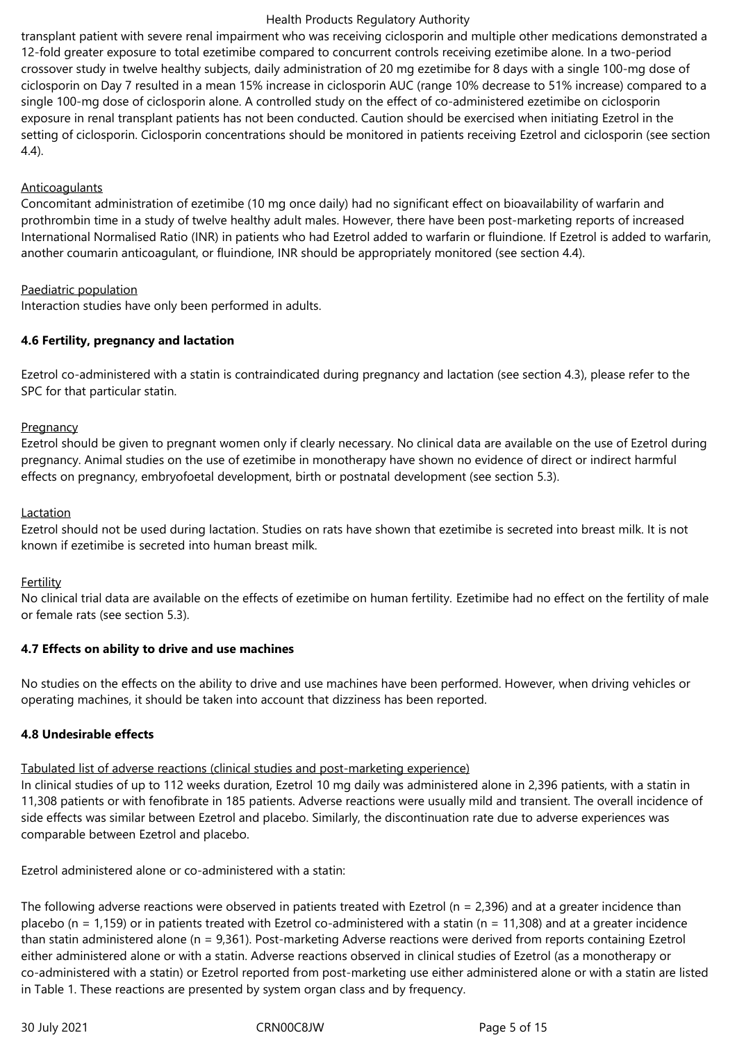transplant patient with severe renal impairment who was receiving ciclosporin and multiple other medications demonstrated a 12‑fold greater exposure to total ezetimibe compared to concurrent controls receiving ezetimibe alone. In a two-period crossover study in twelve healthy subjects, daily administration of 20 mg ezetimibe for 8 days with a single 100‑mg dose of ciclosporin on Day 7 resulted in a mean 15% increase in ciclosporin AUC (range 10% decrease to 51% increase) compared to a single 100‑mg dose of ciclosporin alone. A controlled study on the effect of co-administered ezetimibe on ciclosporin exposure in renal transplant patients has not been conducted. Caution should be exercised when initiating Ezetrol in the setting of ciclosporin. Ciclosporin concentrations should be monitored in patients receiving Ezetrol and ciclosporin (see section 4.4).

## Anticoagulants

Concomitant administration of ezetimibe (10 mg once daily) had no significant effect on bioavailability of warfarin and prothrombin time in a study of twelve healthy adult males. However, there have been post-marketing reports of increased International Normalised Ratio (INR) in patients who had Ezetrol added to warfarin or fluindione. If Ezetrol is added to warfarin, another coumarin anticoagulant, or fluindione, INR should be appropriately monitored (see section 4.4).

## Paediatric population

Interaction studies have only been performed in adults.

## **4.6 Fertility, pregnancy and lactation**

Ezetrol co-administered with a statin is contraindicated during pregnancy and lactation (see section 4.3), please refer to the SPC for that particular statin.

## Pregnancy

Ezetrol should be given to pregnant women only if clearly necessary. No clinical data are available on the use of Ezetrol during pregnancy. Animal studies on the use of ezetimibe in monotherapy have shown no evidence of direct or indirect harmful effects on pregnancy, embryofoetal development, birth or postnatal development (see section 5.3).

## Lactation

Ezetrol should not be used during lactation. Studies on rats have shown that ezetimibe is secreted into breast milk. It is not known if ezetimibe is secreted into human breast milk.

#### Fertility

No clinical trial data are available on the effects of ezetimibe on human fertility. Ezetimibe had no effect on the fertility of male or female rats (see section 5.3).

#### **4.7 Effects on ability to drive and use machines**

No studies on the effects on the ability to drive and use machines have been performed. However, when driving vehicles or operating machines, it should be taken into account that dizziness has been reported.

# **4.8 Undesirable effects**

Tabulated list of adverse reactions (clinical studies and post-marketing experience)

In clinical studies of up to 112 weeks duration, Ezetrol 10 mg daily was administered alone in 2,396 patients, with a statin in 11,308 patients or with fenofibrate in 185 patients. Adverse reactions were usually mild and transient. The overall incidence of side effects was similar between Ezetrol and placebo. Similarly, the discontinuation rate due to adverse experiences was comparable between Ezetrol and placebo.

Ezetrol administered alone or co-administered with a statin:

The following adverse reactions were observed in patients treated with Ezetrol ( $n = 2,396$ ) and at a greater incidence than placebo (n = 1,159) or in patients treated with Ezetrol co-administered with a statin (n = 11,308) and at a greater incidence than statin administered alone (n = 9,361). Post-marketing Adverse reactions were derived from reports containing Ezetrol either administered alone or with a statin. Adverse reactions observed in clinical studies of Ezetrol (as a monotherapy or co-administered with a statin) or Ezetrol reported from post-marketing use either administered alone or with a statin are listed in Table 1. These reactions are presented by system organ class and by frequency.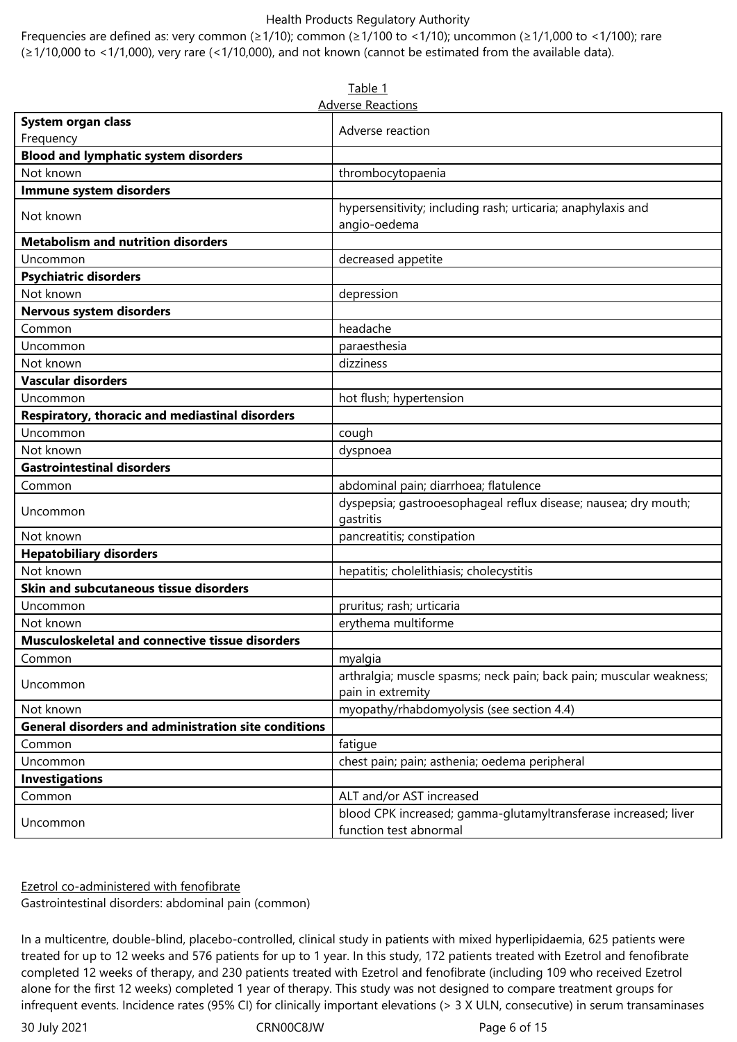Frequencies are defined as: very common (≥1/10); common (≥1/100 to <1/10); uncommon (≥1/1,000 to <1/100); rare (≥1/10,000 to <1/1,000), very rare (<1/10,000), and not known (cannot be estimated from the available data).

| Table 1                                                     |                                                                                          |  |  |  |  |  |
|-------------------------------------------------------------|------------------------------------------------------------------------------------------|--|--|--|--|--|
| <b>Adverse Reactions</b>                                    |                                                                                          |  |  |  |  |  |
| System organ class                                          | Adverse reaction                                                                         |  |  |  |  |  |
| Frequency                                                   |                                                                                          |  |  |  |  |  |
| <b>Blood and lymphatic system disorders</b>                 |                                                                                          |  |  |  |  |  |
| Not known                                                   | thrombocytopaenia                                                                        |  |  |  |  |  |
| Immune system disorders                                     |                                                                                          |  |  |  |  |  |
| Not known                                                   | hypersensitivity; including rash; urticaria; anaphylaxis and<br>angio-oedema             |  |  |  |  |  |
| <b>Metabolism and nutrition disorders</b>                   |                                                                                          |  |  |  |  |  |
| Uncommon                                                    | decreased appetite                                                                       |  |  |  |  |  |
| <b>Psychiatric disorders</b>                                |                                                                                          |  |  |  |  |  |
| Not known                                                   | depression                                                                               |  |  |  |  |  |
| Nervous system disorders                                    |                                                                                          |  |  |  |  |  |
| Common                                                      | headache                                                                                 |  |  |  |  |  |
| Uncommon                                                    | paraesthesia                                                                             |  |  |  |  |  |
| Not known                                                   | dizziness                                                                                |  |  |  |  |  |
| <b>Vascular disorders</b>                                   |                                                                                          |  |  |  |  |  |
| Uncommon                                                    | hot flush; hypertension                                                                  |  |  |  |  |  |
| Respiratory, thoracic and mediastinal disorders             |                                                                                          |  |  |  |  |  |
| Uncommon                                                    | cough                                                                                    |  |  |  |  |  |
| Not known                                                   | dyspnoea                                                                                 |  |  |  |  |  |
| <b>Gastrointestinal disorders</b>                           |                                                                                          |  |  |  |  |  |
| Common                                                      | abdominal pain; diarrhoea; flatulence                                                    |  |  |  |  |  |
| Uncommon                                                    | dyspepsia; gastrooesophageal reflux disease; nausea; dry mouth;<br>gastritis             |  |  |  |  |  |
| Not known                                                   | pancreatitis; constipation                                                               |  |  |  |  |  |
| <b>Hepatobiliary disorders</b>                              |                                                                                          |  |  |  |  |  |
| Not known                                                   | hepatitis; cholelithiasis; cholecystitis                                                 |  |  |  |  |  |
| Skin and subcutaneous tissue disorders                      |                                                                                          |  |  |  |  |  |
| Uncommon                                                    | pruritus; rash; urticaria                                                                |  |  |  |  |  |
| Not known                                                   | erythema multiforme                                                                      |  |  |  |  |  |
| Musculoskeletal and connective tissue disorders             |                                                                                          |  |  |  |  |  |
| Common                                                      | myalgia                                                                                  |  |  |  |  |  |
| Uncommon                                                    | arthralgia; muscle spasms; neck pain; back pain; muscular weakness;<br>pain in extremity |  |  |  |  |  |
| Not known                                                   | myopathy/rhabdomyolysis (see section 4.4)                                                |  |  |  |  |  |
| <b>General disorders and administration site conditions</b> |                                                                                          |  |  |  |  |  |
| Common                                                      | fatigue                                                                                  |  |  |  |  |  |
| Uncommon                                                    | chest pain; pain; asthenia; oedema peripheral                                            |  |  |  |  |  |
| <b>Investigations</b>                                       |                                                                                          |  |  |  |  |  |
| Common                                                      | ALT and/or AST increased                                                                 |  |  |  |  |  |
| Uncommon                                                    | blood CPK increased; gamma-glutamyltransferase increased; liver                          |  |  |  |  |  |
|                                                             | function test abnormal                                                                   |  |  |  |  |  |

Ezetrol co-administered with fenofibrate

Gastrointestinal disorders: abdominal pain (common)

In a multicentre, double-blind, placebo-controlled, clinical study in patients with mixed hyperlipidaemia, 625 patients were treated for up to 12 weeks and 576 patients for up to 1 year. In this study, 172 patients treated with Ezetrol and fenofibrate completed 12 weeks of therapy, and 230 patients treated with Ezetrol and fenofibrate (including 109 who received Ezetrol alone for the first 12 weeks) completed 1 year of therapy. This study was not designed to compare treatment groups for infrequent events. Incidence rates (95% CI) for clinically important elevations (> 3 X ULN, consecutive) in serum transaminases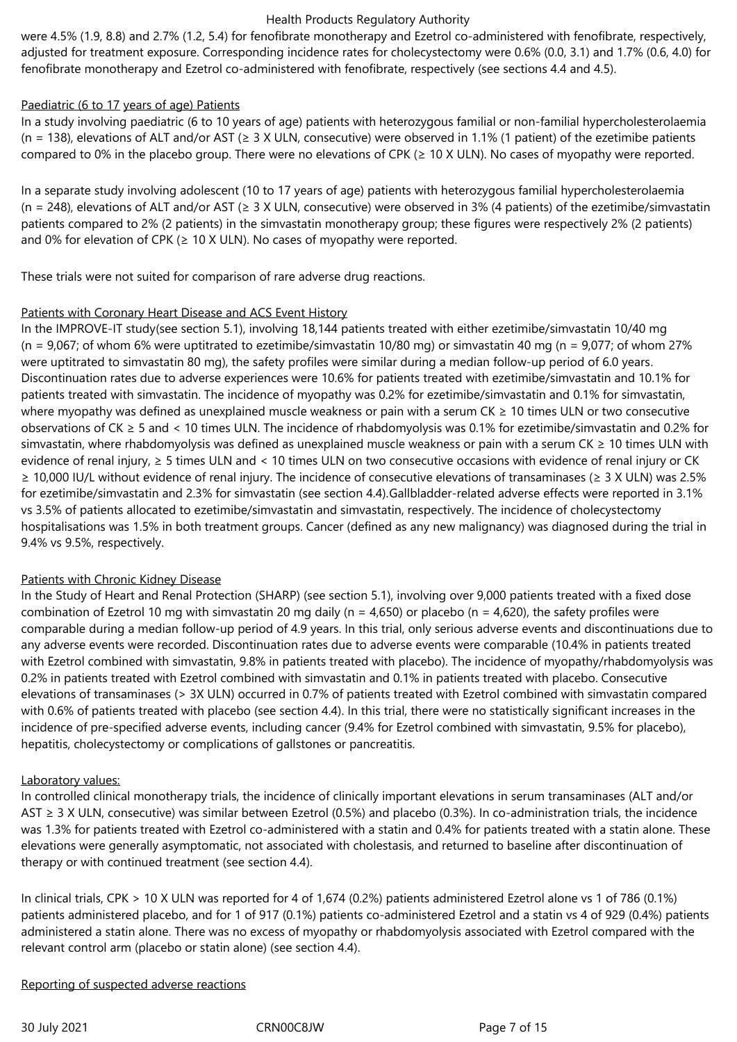were 4.5% (1.9, 8.8) and 2.7% (1.2, 5.4) for fenofibrate monotherapy and Ezetrol co-administered with fenofibrate, respectively, adjusted for treatment exposure. Corresponding incidence rates for cholecystectomy were 0.6% (0.0, 3.1) and 1.7% (0.6, 4.0) for fenofibrate monotherapy and Ezetrol co-administered with fenofibrate, respectively (see sections 4.4 and 4.5).

# Paediatric (6 to 17 years of age) Patients

In a study involving paediatric (6 to 10 years of age) patients with heterozygous familial or non‑familial hypercholesterolaemia (n = 138), elevations of ALT and/or AST ( $\geq$  3 X ULN, consecutive) were observed in 1.1% (1 patient) of the ezetimibe patients compared to 0% in the placebo group. There were no elevations of CPK (≥ 10 X ULN). No cases of myopathy were reported.

In a separate study involving adolescent (10 to 17 years of age) patients with heterozygous familial hypercholesterolaemia (n = 248), elevations of ALT and/or AST (≥ 3 X ULN, consecutive) were observed in 3% (4 patients) of the ezetimibe/simvastatin patients compared to 2% (2 patients) in the simvastatin monotherapy group; these figures were respectively 2% (2 patients) and 0% for elevation of CPK ( $\geq$  10 X ULN). No cases of myopathy were reported.

These trials were not suited for comparison of rare adverse drug reactions.

#### Patients with Coronary Heart Disease and ACS Event History

In the IMPROVE-IT study(see section 5.1), involving 18,144 patients treated with either ezetimibe/simvastatin 10/40 mg (n = 9,067; of whom 6% were uptitrated to ezetimibe/simvastatin 10/80 mg) or simvastatin 40 mg (n = 9,077; of whom 27% were uptitrated to simvastatin 80 mg), the safety profiles were similar during a median follow-up period of 6.0 years*.* Discontinuation rates due to adverse experiences were 10.6% for patients treated with ezetimibe/simvastatin and 10.1% for patients treated with simvastatin. The incidence of myopathy was 0.2% for ezetimibe/simvastatin and 0.1% for simvastatin, where myopathy was defined as unexplained muscle weakness or pain with a serum CK ≥ 10 times ULN or two consecutive observations of CK ≥ 5 and < 10 times ULN. The incidence of rhabdomyolysis was 0.1% for ezetimibe/simvastatin and 0.2% for simvastatin, where rhabdomyolysis was defined as unexplained muscle weakness or pain with a serum CK ≥ 10 times ULN with evidence of renal injury, ≥ 5 times ULN and < 10 times ULN on two consecutive occasions with evidence of renal injury or CK ≥ 10,000 IU/L without evidence of renal injury. The incidence of consecutive elevations of transaminases (≥ 3 X ULN) was 2.5% for ezetimibe/simvastatin and 2.3% for simvastatin (see section 4.4).Gallbladder-related adverse effects were reported in 3.1% vs 3.5% of patients allocated to ezetimibe/simvastatin and simvastatin, respectively. The incidence of cholecystectomy hospitalisations was 1.5% in both treatment groups. Cancer (defined as any new malignancy) was diagnosed during the trial in 9.4% vs 9.5%, respectively.

# Patients with Chronic Kidney Disease

In the Study of Heart and Renal Protection (SHARP) (see section 5.1), involving over 9,000 patients treated with a fixed dose combination of Ezetrol 10 mg with simvastatin 20 mg daily (n = 4,650) or placebo (n = 4,620), the safety profiles were comparable during a median follow-up period of 4.9 years. In this trial, only serious adverse events and discontinuations due to any adverse events were recorded. Discontinuation rates due to adverse events were comparable (10.4% in patients treated with Ezetrol combined with simvastatin, 9.8% in patients treated with placebo). The incidence of myopathy/rhabdomyolysis was 0.2% in patients treated with Ezetrol combined with simvastatin and 0.1% in patients treated with placebo. Consecutive elevations of transaminases (> 3X ULN) occurred in 0.7% of patients treated with Ezetrol combined with simvastatin compared with 0.6% of patients treated with placebo (see section 4.4). In this trial, there were no statistically significant increases in the incidence of pre-specified adverse events, including cancer (9.4% for Ezetrol combined with simvastatin, 9.5% for placebo), hepatitis, cholecystectomy or complications of gallstones or pancreatitis.

# Laboratory values:

In controlled clinical monotherapy trials, the incidence of clinically important elevations in serum transaminases (ALT and/or AST  $\geq$  3 X ULN, consecutive) was similar between Ezetrol (0.5%) and placebo (0.3%). In co-administration trials, the incidence was 1.3% for patients treated with Ezetrol co-administered with a statin and 0.4% for patients treated with a statin alone. These elevations were generally asymptomatic, not associated with cholestasis, and returned to baseline after discontinuation of therapy or with continued treatment (see section 4.4).

In clinical trials, CPK > 10 X ULN was reported for 4 of 1,674 (0.2%) patients administered Ezetrol alone vs 1 of 786 (0.1%) patients administered placebo, and for 1 of 917 (0.1%) patients co-administered Ezetrol and a statin vs 4 of 929 (0.4%) patients administered a statin alone. There was no excess of myopathy or rhabdomyolysis associated with Ezetrol compared with the relevant control arm (placebo or statin alone) (see section 4.4).

#### Reporting of suspected adverse reactions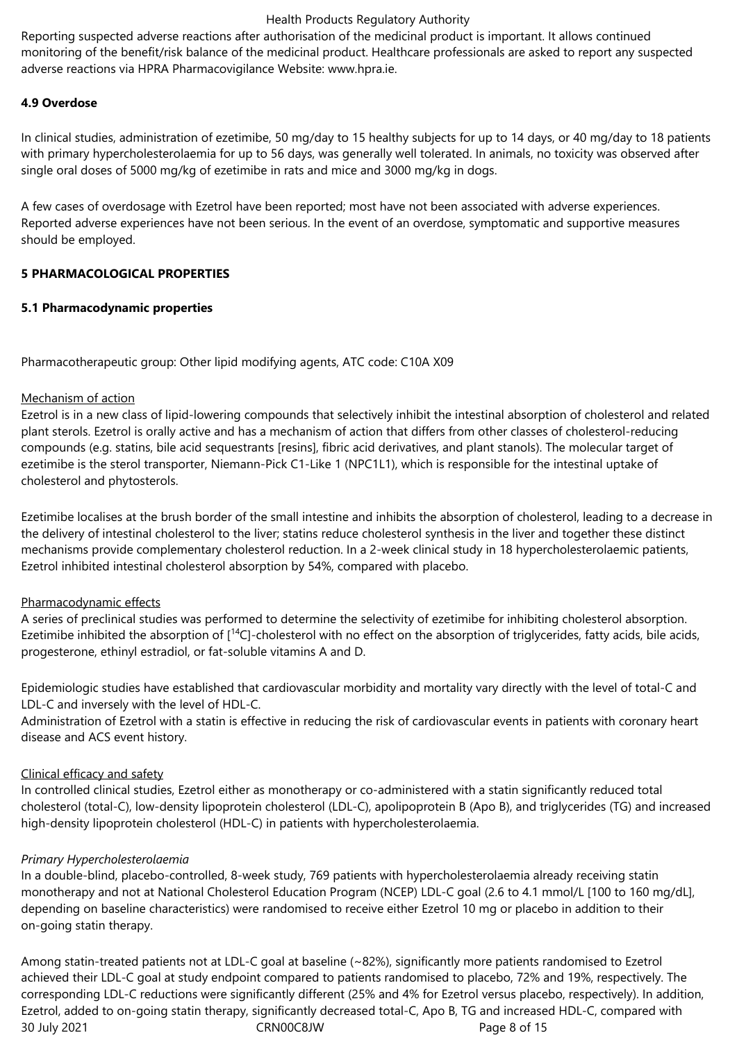Reporting suspected adverse reactions after authorisation of the medicinal product is important. It allows continued monitoring of the benefit/risk balance of the medicinal product. Healthcare professionals are asked to report any suspected adverse reactions via HPRA Pharmacovigilance Website: www.hpra.ie.

## **4.9 Overdose**

In clinical studies, administration of ezetimibe, 50 mg/day to 15 healthy subjects for up to 14 days, or 40 mg/day to 18 patients with primary hypercholesterolaemia for up to 56 days, was generally well tolerated. In animals, no toxicity was observed after single oral doses of 5000 mg/kg of ezetimibe in rats and mice and 3000 mg/kg in dogs.

A few cases of overdosage with Ezetrol have been reported; most have not been associated with adverse experiences. Reported adverse experiences have not been serious. In the event of an overdose, symptomatic and supportive measures should be employed.

## **5 PHARMACOLOGICAL PROPERTIES**

## **5.1 Pharmacodynamic properties**

Pharmacotherapeutic group: Other lipid modifying agents, ATC code: C10A X09

## Mechanism of action

Ezetrol is in a new class of lipid-lowering compounds that selectively inhibit the intestinal absorption of cholesterol and related plant sterols. Ezetrol is orally active and has a mechanism of action that differs from other classes of cholesterol‑reducing compounds (e.g. statins, bile acid sequestrants [resins], fibric acid derivatives, and plant stanols). The molecular target of ezetimibe is the sterol transporter, Niemann-Pick C1-Like 1 (NPC1L1), which is responsible for the intestinal uptake of cholesterol and phytosterols.

Ezetimibe localises at the brush border of the small intestine and inhibits the absorption of cholesterol, leading to a decrease in the delivery of intestinal cholesterol to the liver; statins reduce cholesterol synthesis in the liver and together these distinct mechanisms provide complementary cholesterol reduction. In a 2‑week clinical study in 18 hypercholesterolaemic patients, Ezetrol inhibited intestinal cholesterol absorption by 54%, compared with placebo.

#### Pharmacodynamic effects

A series of preclinical studies was performed to determine the selectivity of ezetimibe for inhibiting cholesterol absorption. Ezetimibe inhibited the absorption of  $[14C]$ -cholesterol with no effect on the absorption of triglycerides, fatty acids, bile acids, progesterone, ethinyl estradiol, or fat-soluble vitamins A and D.

Epidemiologic studies have established that cardiovascular morbidity and mortality vary directly with the level of total-C and LDL-C and inversely with the level of HDL-C.

Administration of Ezetrol with a statin is effective in reducing the risk of cardiovascular events in patients with coronary heart disease and ACS event history.

# Clinical efficacy and safety

In controlled clinical studies, Ezetrol either as monotherapy or co-administered with a statin significantly reduced total cholesterol (total-C), low-density lipoprotein cholesterol (LDL-C), apolipoprotein B (Apo B), and triglycerides (TG) and increased high-density lipoprotein cholesterol (HDL-C) in patients with hypercholesterolaemia.

#### *Primary Hypercholesterolaemia*

In a double-blind, placebo-controlled, 8-week study, 769 patients with hypercholesterolaemia already receiving statin monotherapy and not at National Cholesterol Education Program (NCEP) LDL-C goal (2.6 to 4.1 mmol/L [100 to 160 mg/dL], depending on baseline characteristics) were randomised to receive either Ezetrol 10 mg or placebo in addition to their on-going statin therapy.

30 July 2021 CRN00C8JW Page 8 of 15 Among statin-treated patients not at LDL-C goal at baseline (~82%), significantly more patients randomised to Ezetrol achieved their LDL-C goal at study endpoint compared to patients randomised to placebo, 72% and 19%, respectively. The corresponding LDL-C reductions were significantly different (25% and 4% for Ezetrol versus placebo, respectively). In addition, Ezetrol, added to on-going statin therapy, significantly decreased total‑C, Apo B, TG and increased HDL‑C, compared with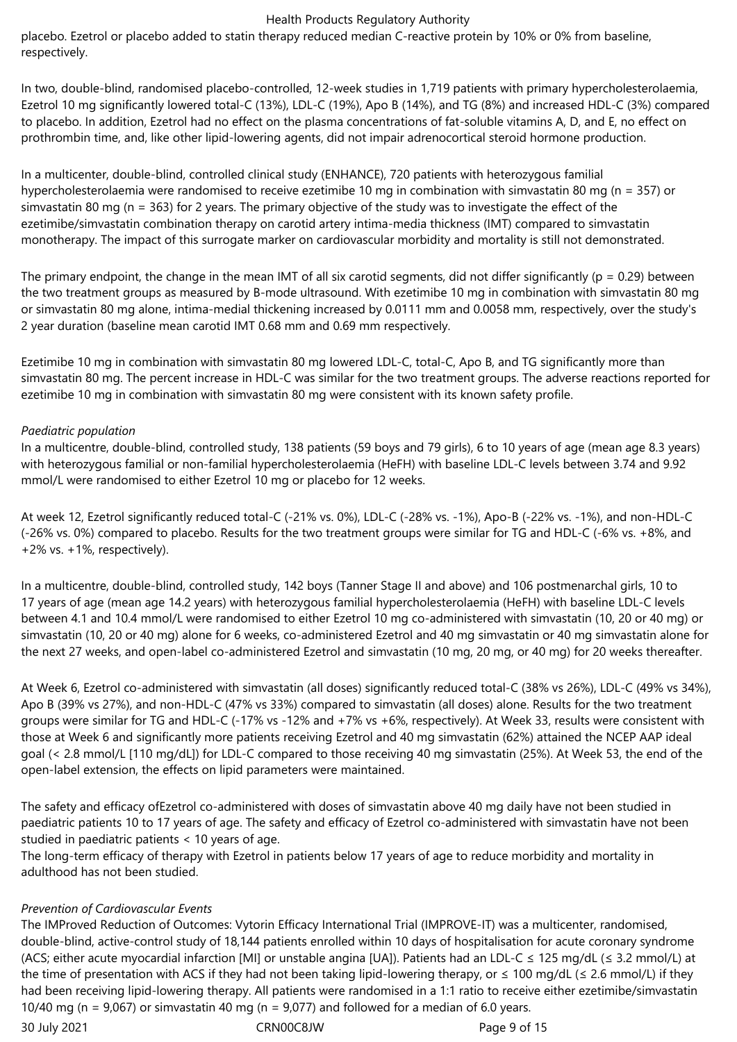placebo. Ezetrol or placebo added to statin therapy reduced median C-reactive protein by 10% or 0% from baseline, respectively.

In two, double-blind, randomised placebo-controlled, 12-week studies in 1,719 patients with primary hypercholesterolaemia, Ezetrol 10 mg significantly lowered total-C (13%), LDL-C (19%), Apo B (14%), and TG (8%) and increased HDL-C (3%) compared to placebo. In addition, Ezetrol had no effect on the plasma concentrations of fat-soluble vitamins A, D, and E, no effect on prothrombin time, and, like other lipid-lowering agents, did not impair adrenocortical steroid hormone production.

In a multicenter, double-blind, controlled clinical study (ENHANCE), 720 patients with heterozygous familial hypercholesterolaemia were randomised to receive ezetimibe 10 mg in combination with simvastatin 80 mg (n = 357) or simvastatin 80 mg (n = 363) for 2 years. The primary objective of the study was to investigate the effect of the ezetimibe/simvastatin combination therapy on carotid artery intima-media thickness (IMT) compared to simvastatin monotherapy. The impact of this surrogate marker on cardiovascular morbidity and mortality is still not demonstrated.

The primary endpoint, the change in the mean IMT of all six carotid segments, did not differ significantly ( $p = 0.29$ ) between the two treatment groups as measured by B-mode ultrasound. With ezetimibe 10 mg in combination with simvastatin 80 mg or simvastatin 80 mg alone, intima‑medial thickening increased by 0.0111 mm and 0.0058 mm, respectively, over the study's 2 year duration (baseline mean carotid IMT 0.68 mm and 0.69 mm respectively.

Ezetimibe 10 mg in combination with simvastatin 80 mg lowered LDL-C, total-C, Apo B, and TG significantly more than simvastatin 80 mg. The percent increase in HDL-C was similar for the two treatment groups. The adverse reactions reported for ezetimibe 10 mg in combination with simvastatin 80 mg were consistent with its known safety profile.

## *Paediatric population*

In a multicentre, double-blind, controlled study, 138 patients (59 boys and 79 girls), 6 to 10 years of age (mean age 8.3 years) with heterozygous familial or non-familial hypercholesterolaemia (HeFH) with baseline LDL-C levels between 3.74 and 9.92 mmol/L were randomised to either Ezetrol 10 mg or placebo for 12 weeks.

At week 12, Ezetrol significantly reduced total-C (-21% vs. 0%), LDL-C (-28% vs. -1%), Apo-B (‑22% vs. -1%), and non-HDL-C (-26% vs. 0%) compared to placebo. Results for the two treatment groups were similar for TG and HDL-C (-6% vs. +8%, and +2% vs. +1%, respectively).

In a multicentre, double-blind, controlled study, 142 boys (Tanner Stage II and above) and 106 postmenarchal girls, 10 to 17 years of age (mean age 14.2 years) with heterozygous familial hypercholesterolaemia (HeFH) with baseline LDL-C levels between 4.1 and 10.4 mmol/L were randomised to either Ezetrol 10 mg co-administered with simvastatin (10, 20 or 40 mg) or simvastatin (10, 20 or 40 mg) alone for 6 weeks, co-administered Ezetrol and 40 mg simvastatin or 40 mg simvastatin alone for the next 27 weeks, and open-label co-administered Ezetrol and simvastatin (10 mg, 20 mg, or 40 mg) for 20 weeks thereafter.

At Week 6, Ezetrol co-administered with simvastatin (all doses) significantly reduced total-C (38% vs 26%), LDL-C (49% vs 34%), Apo B (39% vs 27%), and non-HDL-C (47% vs 33%) compared to simvastatin (all doses) alone. Results for the two treatment groups were similar for TG and HDL-C (‑17% vs ‑12% and +7% vs +6%, respectively). At Week 33, results were consistent with those at Week 6 and significantly more patients receiving Ezetrol and 40 mg simvastatin (62%) attained the NCEP AAP ideal goal (< 2.8 mmol/L [110 mg/dL]) for LDL-C compared to those receiving 40 mg simvastatin (25%). At Week 53, the end of the open-label extension, the effects on lipid parameters were maintained.

The safety and efficacy ofEzetrol co-administered with doses of simvastatin above 40 mg daily have not been studied in paediatric patients 10 to 17 years of age. The safety and efficacy of Ezetrol co-administered with simvastatin have not been studied in paediatric patients < 10 years of age.

The long-term efficacy of therapy with Ezetrol in patients below 17 years of age to reduce morbidity and mortality in adulthood has not been studied.

# *Prevention of Cardiovascular Events*

The IMProved Reduction of Outcomes: Vytorin Efficacy International Trial (IMPROVE-IT) was a multicenter, randomised, double-blind, active-control study of 18,144 patients enrolled within 10 days of hospitalisation for acute coronary syndrome (ACS; either acute myocardial infarction [MI] or unstable angina [UA]). Patients had an LDL-C  $\leq$  125 mg/dL ( $\leq$  3.2 mmol/L) at the time of presentation with ACS if they had not been taking lipid-lowering therapy, or  $\leq 100$  mg/dL ( $\leq 2.6$  mmol/L) if they had been receiving lipid-lowering therapy. All patients were randomised in a 1:1 ratio to receive either ezetimibe/simvastatin 10/40 mg (n =  $9,067$ ) or simvastatin 40 mg (n =  $9,077$ ) and followed for a median of 6.0 years.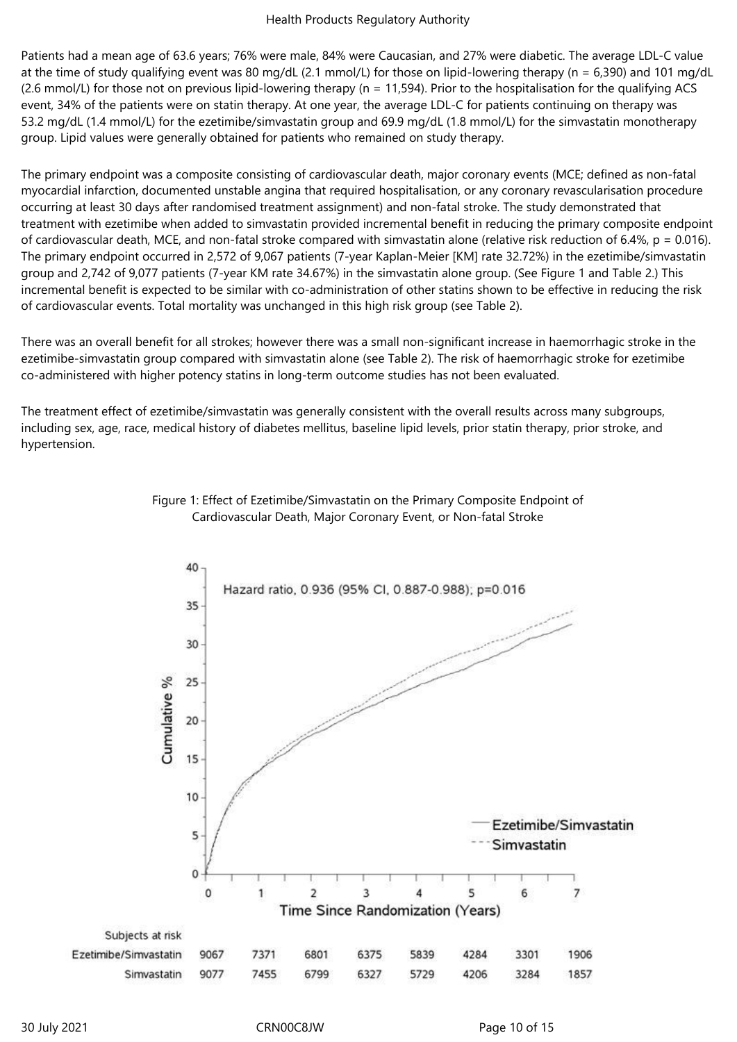Patients had a mean age of 63.6 years; 76% were male, 84% were Caucasian, and 27% were diabetic. The average LDL-C value at the time of study qualifying event was 80 mg/dL (2.1 mmol/L) for those on lipid-lowering therapy (n = 6,390) and 101 mg/dL (2.6 mmol/L) for those not on previous lipid-lowering therapy (n = 11,594). Prior to the hospitalisation for the qualifying ACS event, 34% of the patients were on statin therapy. At one year, the average LDL-C for patients continuing on therapy was 53.2 mg/dL (1.4 mmol/L) for the ezetimibe/simvastatin group and 69.9 mg/dL (1.8 mmol/L) for the simvastatin monotherapy group. Lipid values were generally obtained for patients who remained on study therapy.

The primary endpoint was a composite consisting of cardiovascular death, major coronary events (MCE; defined as non-fatal myocardial infarction, documented unstable angina that required hospitalisation, or any coronary revascularisation procedure occurring at least 30 days after randomised treatment assignment) and non-fatal stroke. The study demonstrated that treatment with ezetimibe when added to simvastatin provided incremental benefit in reducing the primary composite endpoint of cardiovascular death, MCE, and non-fatal stroke compared with simvastatin alone (relative risk reduction of 6.4%,  $p = 0.016$ ). The primary endpoint occurred in 2,572 of 9,067 patients (7-year Kaplan-Meier [KM] rate 32.72%) in the ezetimibe/simvastatin group and 2,742 of 9,077 patients (7-year KM rate 34.67%) in the simvastatin alone group. (See Figure 1 and Table 2.) This incremental benefit is expected to be similar with co-administration of other statins shown to be effective in reducing the risk of cardiovascular events. Total mortality was unchanged in this high risk group (see Table 2).

There was an overall benefit for all strokes; however there was a small non-significant increase in haemorrhagic stroke in the ezetimibe-simvastatin group compared with simvastatin alone (see Table 2). The risk of haemorrhagic stroke for ezetimibe co-administered with higher potency statins in long-term outcome studies has not been evaluated.

The treatment effect of ezetimibe/simvastatin was generally consistent with the overall results across many subgroups, including sex, age, race, medical history of diabetes mellitus, baseline lipid levels, prior statin therapy, prior stroke, and hypertension.



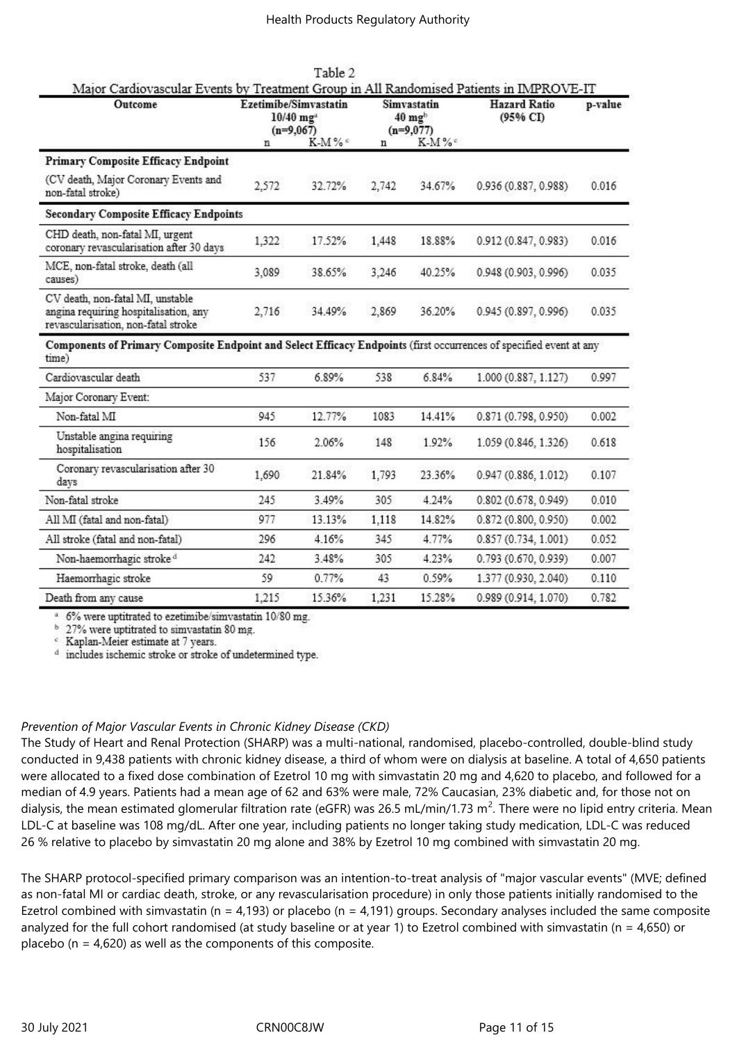| Outcome                                                                                                                      | Ezetimibe/Simvastatin<br>$10/40$ mg <sup>2</sup><br>$(n=9,067)$ |         | Simvastatin<br>$40 \text{ mg}^{\text{b}}$<br>$(n=9,077)$ |                   | <b>Hazard Ratio</b><br>(95% CI) | p-value |
|------------------------------------------------------------------------------------------------------------------------------|-----------------------------------------------------------------|---------|----------------------------------------------------------|-------------------|---------------------------------|---------|
|                                                                                                                              | n                                                               | $K-M\%$ | n                                                        | K-M% <sup>c</sup> |                                 |         |
| <b>Primary Composite Efficacy Endpoint</b>                                                                                   |                                                                 |         |                                                          |                   |                                 |         |
| (CV death, Major Coronary Events and<br>non-fatal stroke)                                                                    | 2,572                                                           | 32.72%  | 2,742                                                    | 34.67%            | 0.936 (0.887, 0.988)            | 0.016   |
| <b>Secondary Composite Efficacy Endpoints</b>                                                                                |                                                                 |         |                                                          |                   |                                 |         |
| CHD death, non-fatal MI, urgent<br>coronary revascularisation after 30 days                                                  | 1,322                                                           | 17.52%  | 1,448                                                    | 18.88%            | 0.912 (0.847, 0.983)            | 0.016   |
| MCE, non-fatal stroke, death (all<br>causes)                                                                                 | 3.089                                                           | 38.65%  | 3,246                                                    | 40.25%            | 0.948 (0.903, 0.996).           | 0.035   |
| CV death, non-fatal MI, unstable<br>angina requiring hospitalisation, any<br>revascularisation, non-fatal stroke             | 2,716                                                           | 34.49%  | 2,869                                                    | 36.20%            | 0.945 (0.897, 0.996)            | 0.035   |
| Components of Primary Composite Endpoint and Select Efficacy Endpoints (first occurrences of specified event at any<br>time) |                                                                 |         |                                                          |                   |                                 |         |
| Cardiovascular death                                                                                                         | 537                                                             | 6.89%   | 538                                                      | 6.84%             | 1.000 (0.887, 1.127)            | 0.997   |
| Major Coronary Event:                                                                                                        |                                                                 |         |                                                          |                   |                                 |         |
| Non-fatal MI                                                                                                                 | 945                                                             | 12.77%  | 1083                                                     | 14.41%            | 0.871 (0.798, 0.950)            | 0.002   |
| Unstable angina requiring<br>hospitalisation                                                                                 | 156                                                             | 2.06%   | 148                                                      | 1.92%             | 1.059 (0.846, 1.326)            | 0.618   |
| Coronary revascularisation after 30<br>days                                                                                  | 1,690                                                           | 21.84%  | 1,793                                                    | 23.36%            | 0.947 (0.886, 1.012)            | 0.107   |
| Non-fatal stroke                                                                                                             | 245                                                             | 3.49%   | 305                                                      | 4.24%             | 0.802(0.678, 0.949)             | 0.010   |
| All MI (fatal and non-fatal)                                                                                                 | 977                                                             | 13.13%  | 1,118                                                    | 14.82%            | 0.872 (0.800, 0.950)            | 0.002   |
| All stroke (fatal and non-fatal)                                                                                             | 296                                                             | 4.16%   | 345                                                      | 4.77%             | 0.857 (0.734, 1.001)            | 0.052   |
| Non-haemorrhagic stroke <sup>d</sup>                                                                                         | 242                                                             | 3.48%   | 305                                                      | 4.23%             | 0.793 (0.670, 0.939)            | 0.007   |
|                                                                                                                              |                                                                 |         |                                                          |                   |                                 |         |
| Haemorrhagic stroke                                                                                                          | 59                                                              | 0.77%   | 43                                                       | 0.59%             | 1.377 (0.930, 2.040)            | 0.110   |

and the second second

<sup>a</sup> 6% were uptitrated to ezetimibe/simvastatin 10/80 mg.

<sup>b</sup> 27% were uptitrated to simvastatin 80 mg.

<sup>c</sup> Kaplan-Meier estimate at 7 years.

<sup>d</sup> includes ischemic stroke or stroke of undetermined type.

#### *Prevention of Major Vascular Events in Chronic Kidney Disease (CKD)*

The Study of Heart and Renal Protection (SHARP) was a multi-national, randomised, placebo-controlled, double-blind study conducted in 9,438 patients with chronic kidney disease, a third of whom were on dialysis at baseline. A total of 4,650 patients were allocated to a fixed dose combination of Ezetrol 10 mg with simvastatin 20 mg and 4,620 to placebo, and followed for a median of 4.9 years. Patients had a mean age of 62 and 63% were male, 72% Caucasian, 23% diabetic and, for those not on dialysis, the mean estimated glomerular filtration rate (eGFR) was 26.5 mL/min/1.73 m<sup>2</sup>. There were no lipid entry criteria. Mean LDL-C at baseline was 108 mg/dL. After one year, including patients no longer taking study medication, LDL-C was reduced 26 % relative to placebo by simvastatin 20 mg alone and 38% by Ezetrol 10 mg combined with simvastatin 20 mg.

The SHARP protocol-specified primary comparison was an intention-to-treat analysis of "major vascular events" (MVE; defined as non-fatal MI or cardiac death, stroke, or any revascularisation procedure) in only those patients initially randomised to the Ezetrol combined with simvastatin ( $n = 4,193$ ) or placebo ( $n = 4,191$ ) groups. Secondary analyses included the same composite analyzed for the full cohort randomised (at study baseline or at year 1) to Ezetrol combined with simvastatin ( $n = 4,650$ ) or placebo ( $n = 4,620$ ) as well as the components of this composite.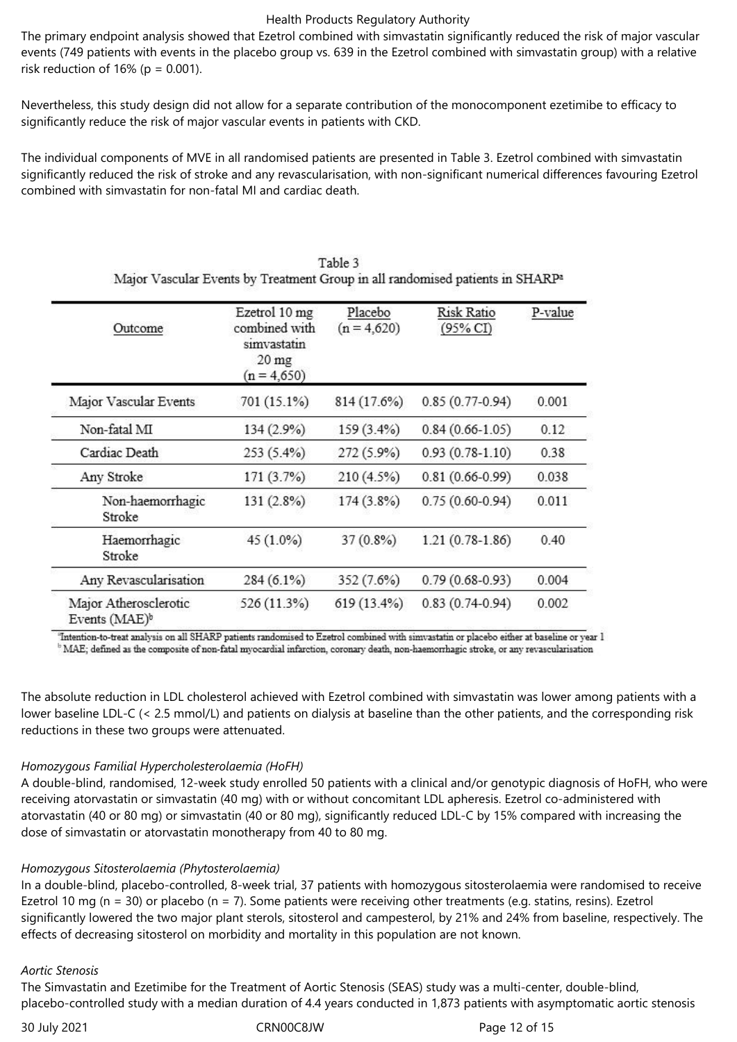The primary endpoint analysis showed that Ezetrol combined with simvastatin significantly reduced the risk of major vascular events (749 patients with events in the placebo group vs. 639 in the Ezetrol combined with simvastatin group) with a relative risk reduction of 16% ( $p = 0.001$ ).

Nevertheless, this study design did not allow for a separate contribution of the monocomponent ezetimibe to efficacy to significantly reduce the risk of major vascular events in patients with CKD.

The individual components of MVE in all randomised patients are presented in Table 3. Ezetrol combined with simvastatin significantly reduced the risk of stroke and any revascularisation, with non-significant numerical differences favouring Ezetrol combined with simvastatin for non-fatal MI and cardiac death.

| Outcome                                            | Ezetrol 10 mg<br>combined with<br>simvastatin<br>20 <sub>mg</sub><br>$(n = 4,650)$ | Placebo<br>$(n = 4,620)$ | Risk Ratio<br>(95% CI) | P-value |
|----------------------------------------------------|------------------------------------------------------------------------------------|--------------------------|------------------------|---------|
| Major Vascular Events                              | 701 (15.1%)                                                                        | 814 (17.6%)              | $0.85(0.77-0.94)$      | 0.001   |
| Non-fatal MI                                       | 134 (2.9%)                                                                         | 159 (3.4%)               | $0.84(0.66 - 1.05)$    | 0.12    |
| Cardiac Death                                      | 253 (5.4%)                                                                         | 272 (5.9%)               | $0.93(0.78-1.10)$      | 0.38    |
| Any Stroke                                         | 171(3.7%)                                                                          | 210 (4.5%)               | $0.81(0.66 - 0.99)$    | 0.038   |
| Non-haemorrhagic<br>Stroke                         | 131(2.8%)                                                                          | 174 (3.8%)               | $0.75(0.60-0.94)$      | 0.011   |
| Haemorrhagic<br>Stroke                             | 45 (1.0%)                                                                          | 37 (0.8%)                | $1.21(0.78-1.86)$      | 0.40    |
| Any Revascularisation                              | $284(6.1\%)$                                                                       | 352 (7.6%)               | $0.79(0.68-0.93)$      | 0.004   |
| Major Atherosclerotic<br>Events (MAE) <sup>b</sup> | 526 (11.3%)                                                                        | 619 (13.4%)              | $0.83(0.74-0.94)$      | 0.002   |

| Table 3                                                                                   |
|-------------------------------------------------------------------------------------------|
| Major Vascular Events by Treatment Group in all randomised patients in SHARP <sup>a</sup> |

"Intention-to-treat analysis on all SHARP patients randomised to Ezetrol combined with simvastatin or placebo either at baseline or year 1 <sup>16</sup> MAE; defined as the composite of non-fatal myocardial infarction, coronary death, non-haemorrhagic stroke, or any revascularisation

The absolute reduction in LDL cholesterol achieved with Ezetrol combined with simvastatin was lower among patients with a lower baseline LDL-C (< 2.5 mmol/L) and patients on dialysis at baseline than the other patients, and the corresponding risk reductions in these two groups were attenuated.

#### *Homozygous Familial Hypercholesterolaemia (HoFH)*

A double‑blind, randomised, 12‑week study enrolled 50 patients with a clinical and/or genotypic diagnosis of HoFH, who were receiving atorvastatin or simvastatin (40 mg) with or without concomitant LDL apheresis. Ezetrol co-administered with atorvastatin (40 or 80 mg) or simvastatin (40 or 80 mg), significantly reduced LDL‑C by 15% compared with increasing the dose of simvastatin or atorvastatin monotherapy from 40 to 80 mg.

#### *Homozygous Sitosterolaemia (Phytosterolaemia)*

In a double-blind, placebo-controlled, 8-week trial, 37 patients with homozygous sitosterolaemia were randomised to receive Ezetrol 10 mg ( $n = 30$ ) or placebo ( $n = 7$ ). Some patients were receiving other treatments (e.g. statins, resins). Ezetrol significantly lowered the two major plant sterols, sitosterol and campesterol, by 21% and 24% from baseline, respectively. The effects of decreasing sitosterol on morbidity and mortality in this population are not known.

#### *Aortic Stenosis*

The Simvastatin and Ezetimibe for the Treatment of Aortic Stenosis (SEAS) study was a multi-center, double-blind, placebo-controlled study with a median duration of 4.4 years conducted in 1,873 patients with asymptomatic aortic stenosis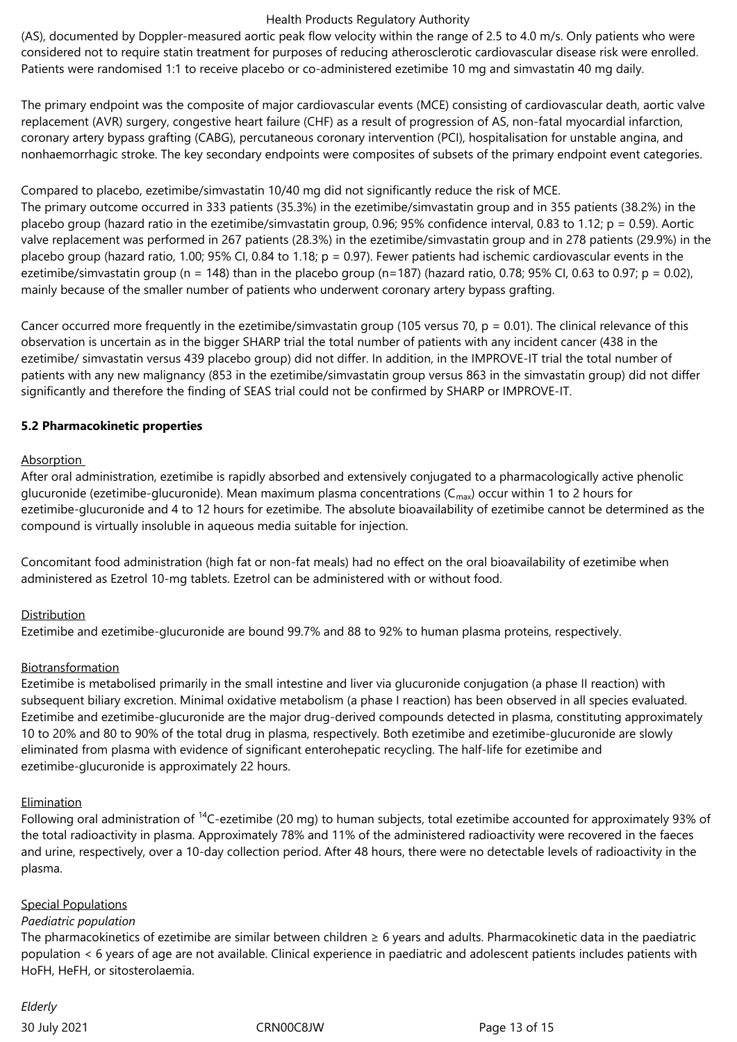(AS), documented by Doppler-measured aortic peak flow velocity within the range of 2.5 to 4.0 m/s. Only patients who were considered not to require statin treatment for purposes of reducing atherosclerotic cardiovascular disease risk were enrolled. Patients were randomised 1:1 to receive placebo or co-administered ezetimibe 10 mg and simvastatin 40 mg daily.

The primary endpoint was the composite of major cardiovascular events (MCE) consisting of cardiovascular death, aortic valve replacement (AVR) surgery, congestive heart failure (CHF) as a result of progression of AS, non-fatal myocardial infarction, coronary artery bypass grafting (CABG), percutaneous coronary intervention (PCI), hospitalisation for unstable angina, and nonhaemorrhagic stroke. The key secondary endpoints were composites of subsets of the primary endpoint event categories.

Compared to placebo, ezetimibe/simvastatin 10/40 mg did not significantly reduce the risk of MCE.

The primary outcome occurred in 333 patients (35.3%) in the ezetimibe/simvastatin group and in 355 patients (38.2%) in the placebo group (hazard ratio in the ezetimibe/simvastatin group, 0.96; 95% confidence interval, 0.83 to 1.12;  $p = 0.59$ ). Aortic valve replacement was performed in 267 patients (28.3%) in the ezetimibe/simvastatin group and in 278 patients (29.9%) in the placebo group (hazard ratio, 1.00; 95% CI, 0.84 to 1.18; p = 0.97). Fewer patients had ischemic cardiovascular events in the ezetimibe/simvastatin group (n = 148) than in the placebo group (n=187) (hazard ratio, 0.78; 95% CI, 0.63 to 0.97; p = 0.02), mainly because of the smaller number of patients who underwent coronary artery bypass grafting.

Cancer occurred more frequently in the ezetimibe/simvastatin group (105 versus 70,  $p = 0.01$ ). The clinical relevance of this observation is uncertain as in the bigger SHARP trial the total number of patients with any incident cancer (438 in the ezetimibe/ simvastatin versus 439 placebo group) did not differ. In addition, in the IMPROVE-IT trial the total number of patients with any new malignancy (853 in the ezetimibe/simvastatin group versus 863 in the simvastatin group) did not differ significantly and therefore the finding of SEAS trial could not be confirmed by SHARP or IMPROVE-IT.

## **5.2 Pharmacokinetic properties**

## Absorption

After oral administration, ezetimibe is rapidly absorbed and extensively conjugated to a pharmacologically active phenolic glucuronide (ezetimibe-glucuronide). Mean maximum plasma concentrations ( $C_{\text{max}}$ ) occur within 1 to 2 hours for ezetimibe-glucuronide and 4 to 12 hours for ezetimibe. The absolute bioavailability of ezetimibe cannot be determined as the compound is virtually insoluble in aqueous media suitable for injection.

Concomitant food administration (high fat or non-fat meals) had no effect on the oral bioavailability of ezetimibe when administered as Ezetrol 10‑mg tablets. Ezetrol can be administered with or without food.

# Distribution

Ezetimibe and ezetimibe‑glucuronide are bound 99.7% and 88 to 92% to human plasma proteins, respectively.

#### Biotransformation

Ezetimibe is metabolised primarily in the small intestine and liver via glucuronide conjugation (a phase II reaction) with subsequent biliary excretion. Minimal oxidative metabolism (a phase I reaction) has been observed in all species evaluated. Ezetimibe and ezetimibe‑glucuronide are the major drug-derived compounds detected in plasma, constituting approximately 10 to 20% and 80 to 90% of the total drug in plasma, respectively. Both ezetimibe and ezetimibe-glucuronide are slowly eliminated from plasma with evidence of significant enterohepatic recycling. The half-life for ezetimibe and ezetimibe-glucuronide is approximately 22 hours.

#### **Elimination**

Following oral administration of  $^{14}$ C-ezetimibe (20 mg) to human subjects, total ezetimibe accounted for approximately 93% of the total radioactivity in plasma. Approximately 78% and 11% of the administered radioactivity were recovered in the faeces and urine, respectively, over a 10‑day collection period. After 48 hours, there were no detectable levels of radioactivity in the plasma.

#### Special Populations

#### *Paediatric population*

The pharmacokinetics of ezetimibe are similar between children  $\geq 6$  years and adults. Pharmacokinetic data in the paediatric population < 6 years of age are not available. Clinical experience in paediatric and adolescent patients includes patients with HoFH, HeFH, or sitosterolaemia.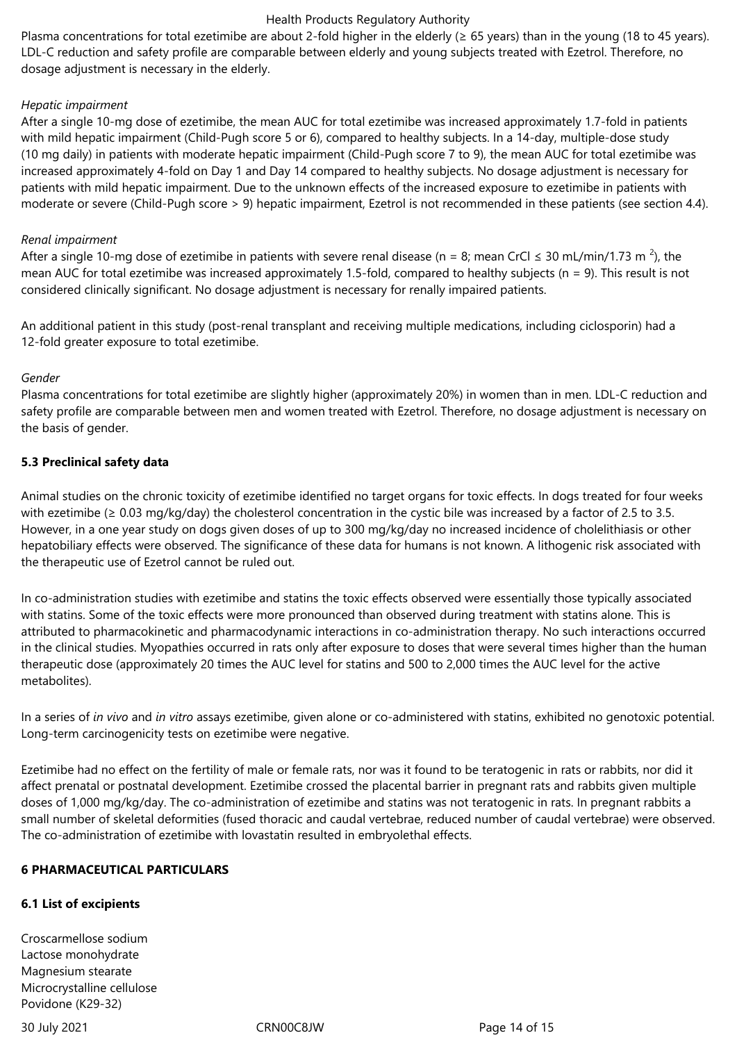Plasma concentrations for total ezetimibe are about 2-fold higher in the elderly ( $\geq 65$  years) than in the young (18 to 45 years). LDL-C reduction and safety profile are comparable between elderly and young subjects treated with Ezetrol. Therefore, no dosage adjustment is necessary in the elderly.

## *Hepatic impairment*

After a single 10‑mg dose of ezetimibe, the mean AUC for total ezetimibe was increased approximately 1.7‑fold in patients with mild hepatic impairment (Child-Pugh score 5 or 6), compared to healthy subjects. In a 14-day, multiple-dose study (10 mg daily) in patients with moderate hepatic impairment (Child‑Pugh score 7 to 9), the mean AUC for total ezetimibe was increased approximately 4‑fold on Day 1 and Day 14 compared to healthy subjects. No dosage adjustment is necessary for patients with mild hepatic impairment. Due to the unknown effects of the increased exposure to ezetimibe in patients with moderate or severe (Child-Pugh score > 9) hepatic impairment, Ezetrol is not recommended in these patients (see section 4.4).

## *Renal impairment*

After a single 10-mg dose of ezetimibe in patients with severe renal disease (n = 8; mean CrCl  $\leq$  30 mL/min/1.73 m <sup>2</sup>), the mean AUC for total ezetimibe was increased approximately 1.5-fold, compared to healthy subjects ( $n = 9$ ). This result is not considered clinically significant. No dosage adjustment is necessary for renally impaired patients.

An additional patient in this study (post-renal transplant and receiving multiple medications, including ciclosporin) had a 12-fold greater exposure to total ezetimibe.

## *Gender*

Plasma concentrations for total ezetimibe are slightly higher (approximately 20%) in women than in men. LDL-C reduction and safety profile are comparable between men and women treated with Ezetrol. Therefore, no dosage adjustment is necessary on the basis of gender.

## **5.3 Preclinical safety data**

Animal studies on the chronic toxicity of ezetimibe identified no target organs for toxic effects. In dogs treated for four weeks with ezetimibe ( $\geq 0.03$  mg/kg/day) the cholesterol concentration in the cystic bile was increased by a factor of 2.5 to 3.5. However, in a one year study on dogs given doses of up to 300 mg/kg/day no increased incidence of cholelithiasis or other hepatobiliary effects were observed. The significance of these data for humans is not known. A lithogenic risk associated with the therapeutic use of Ezetrol cannot be ruled out.

In co-administration studies with ezetimibe and statins the toxic effects observed were essentially those typically associated with statins. Some of the toxic effects were more pronounced than observed during treatment with statins alone. This is attributed to pharmacokinetic and pharmacodynamic interactions in co-administration therapy. No such interactions occurred in the clinical studies. Myopathies occurred in rats only after exposure to doses that were several times higher than the human therapeutic dose (approximately 20 times the AUC level for statins and 500 to 2,000 times the AUC level for the active metabolites).

In a series of *in vivo* and *in vitro* assays ezetimibe, given alone or co-administered with statins, exhibited no genotoxic potential. Long-term carcinogenicity tests on ezetimibe were negative.

Ezetimibe had no effect on the fertility of male or female rats, nor was it found to be teratogenic in rats or rabbits, nor did it affect prenatal or postnatal development. Ezetimibe crossed the placental barrier in pregnant rats and rabbits given multiple doses of 1,000 mg/kg/day. The co-administration of ezetimibe and statins was not teratogenic in rats. In pregnant rabbits a small number of skeletal deformities (fused thoracic and caudal vertebrae, reduced number of caudal vertebrae) were observed. The co-administration of ezetimibe with lovastatin resulted in embryolethal effects.

#### **6 PHARMACEUTICAL PARTICULARS**

# **6.1 List of excipients**

Croscarmellose sodium Lactose monohydrate Magnesium stearate Microcrystalline cellulose Povidone (K29-32)